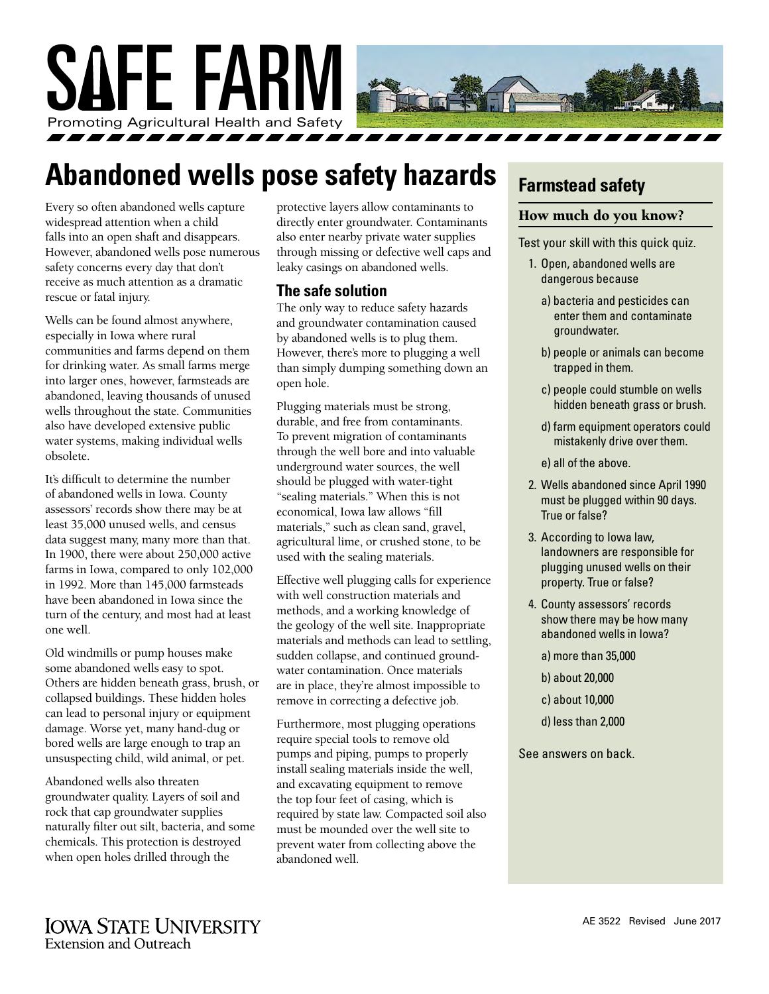

## **Abandoned wells pose safety hazards**

Every so often abandoned wells capture widespread attention when a child falls into an open shaft and disappears. However, abandoned wells pose numerous safety concerns every day that don't receive as much attention as a dramatic rescue or fatal injury.

Wells can be found almost anywhere, especially in Iowa where rural communities and farms depend on them for drinking water. As small farms merge into larger ones, however, farmsteads are abandoned, leaving thousands of unused wells throughout the state. Communities also have developed extensive public water systems, making individual wells obsolete.

It's difficult to determine the number of abandoned wells in Iowa. County assessors' records show there may be at least 35,000 unused wells, and census data suggest many, many more than that. In 1900, there were about 250,000 active farms in Iowa, compared to only 102,000 in 1992. More than 145,000 farmsteads have been abandoned in Iowa since the turn of the century, and most had at least one well.

Old windmills or pump houses make some abandoned wells easy to spot. Others are hidden beneath grass, brush, or collapsed buildings. These hidden holes can lead to personal injury or equipment damage. Worse yet, many hand-dug or bored wells are large enough to trap an unsuspecting child, wild animal, or pet.

Abandoned wells also threaten groundwater quality. Layers of soil and rock that cap groundwater supplies naturally filter out silt, bacteria, and some chemicals. This protection is destroyed when open holes drilled through the

protective layers allow contaminants to directly enter groundwater. Contaminants also enter nearby private water supplies through missing or defective well caps and leaky casings on abandoned wells.

#### **The safe solution**

The only way to reduce safety hazards and groundwater contamination caused by abandoned wells is to plug them. However, there's more to plugging a well than simply dumping something down an open hole.

Plugging materials must be strong, durable, and free from contaminants. To prevent migration of contaminants through the well bore and into valuable underground water sources, the well should be plugged with water-tight "sealing materials." When this is not economical, Iowa law allows "fill materials," such as clean sand, gravel, agricultural lime, or crushed stone, to be used with the sealing materials.

Effective well plugging calls for experience with well construction materials and methods, and a working knowledge of the geology of the well site. Inappropriate materials and methods can lead to settling, sudden collapse, and continued groundwater contamination. Once materials are in place, they're almost impossible to remove in correcting a defective job.

Furthermore, most plugging operations require special tools to remove old pumps and piping, pumps to properly install sealing materials inside the well, and excavating equipment to remove the top four feet of casing, which is required by state law. Compacted soil also must be mounded over the well site to prevent water from collecting above the abandoned well.

## **Farmstead safety**

#### How much do you know?

Test your skill with this quick quiz.

- 1. Open, abandoned wells are dangerous because
	- a) bacteria and pesticides can enter them and contaminate groundwater.
	- b) people or animals can become trapped in them.
	- c) people could stumble on wells hidden beneath grass or brush.
	- d) farm equipment operators could mistakenly drive over them.
	- e) all of the above.
- 2. Wells abandoned since April 1990 must be plugged within 90 days. True or false?
- 3. According to Iowa law, landowners are responsible for plugging unused wells on their property. True or false?
- 4. County assessors' records show there may be how many abandoned wells in Iowa?

a) more than 35,000

- b) about 20,000
- c) about 10,000
- d) less than 2,000

See answers on back.